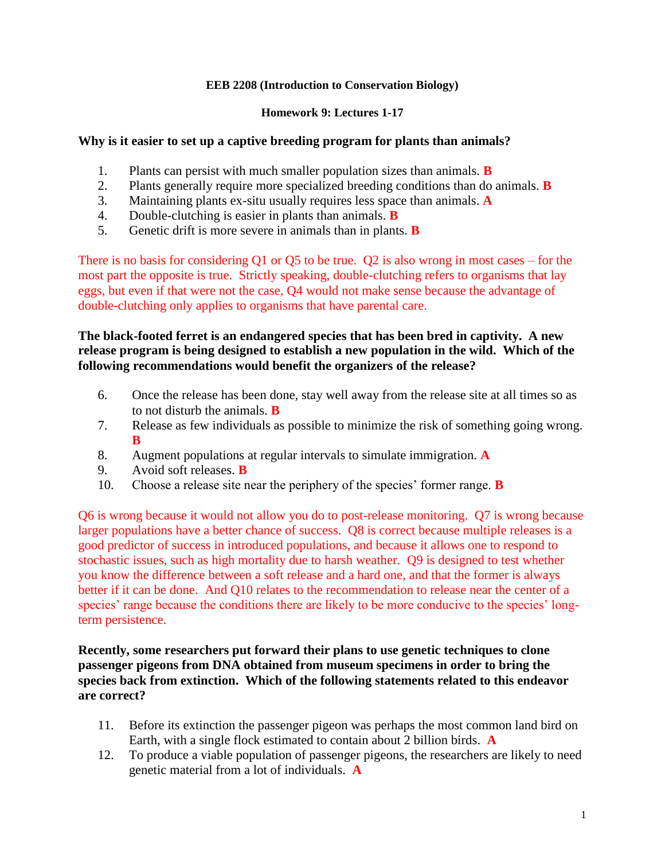### **EEB 2208 (Introduction to Conservation Biology)**

### **Homework 9: Lectures 1-17**

### **Why is it easier to set up a captive breeding program for plants than animals?**

- 1. Plants can persist with much smaller population sizes than animals. **B**
- 2. Plants generally require more specialized breeding conditions than do animals. **B**
- 3. Maintaining plants ex-situ usually requires less space than animals. **A**
- 4. Double-clutching is easier in plants than animals. **B**
- 5. Genetic drift is more severe in animals than in plants. **B**

There is no basis for considering Q1 or Q5 to be true. Q2 is also wrong in most cases – for the most part the opposite is true. Strictly speaking, double-clutching refers to organisms that lay eggs, but even if that were not the case, Q4 would not make sense because the advantage of double-clutching only applies to organisms that have parental care.

### **The black-footed ferret is an endangered species that has been bred in captivity. A new release program is being designed to establish a new population in the wild. Which of the following recommendations would benefit the organizers of the release?**

- 6. Once the release has been done, stay well away from the release site at all times so as to not disturb the animals. **B**
- 7. Release as few individuals as possible to minimize the risk of something going wrong. **B**
- 8. Augment populations at regular intervals to simulate immigration. **A**
- 9. Avoid soft releases. **B**
- 10. Choose a release site near the periphery of the species' former range. **B**

Q6 is wrong because it would not allow you do to post-release monitoring. Q7 is wrong because larger populations have a better chance of success. Q8 is correct because multiple releases is a good predictor of success in introduced populations, and because it allows one to respond to stochastic issues, such as high mortality due to harsh weather. Q9 is designed to test whether you know the difference between a soft release and a hard one, and that the former is always better if it can be done. And Q10 relates to the recommendation to release near the center of a species' range because the conditions there are likely to be more conducive to the species' longterm persistence.

**Recently, some researchers put forward their plans to use genetic techniques to clone passenger pigeons from DNA obtained from museum specimens in order to bring the species back from extinction. Which of the following statements related to this endeavor are correct?**

- 11. Before its extinction the passenger pigeon was perhaps the most common land bird on Earth, with a single flock estimated to contain about 2 billion birds. **A**
- 12. To produce a viable population of passenger pigeons, the researchers are likely to need genetic material from a lot of individuals. **A**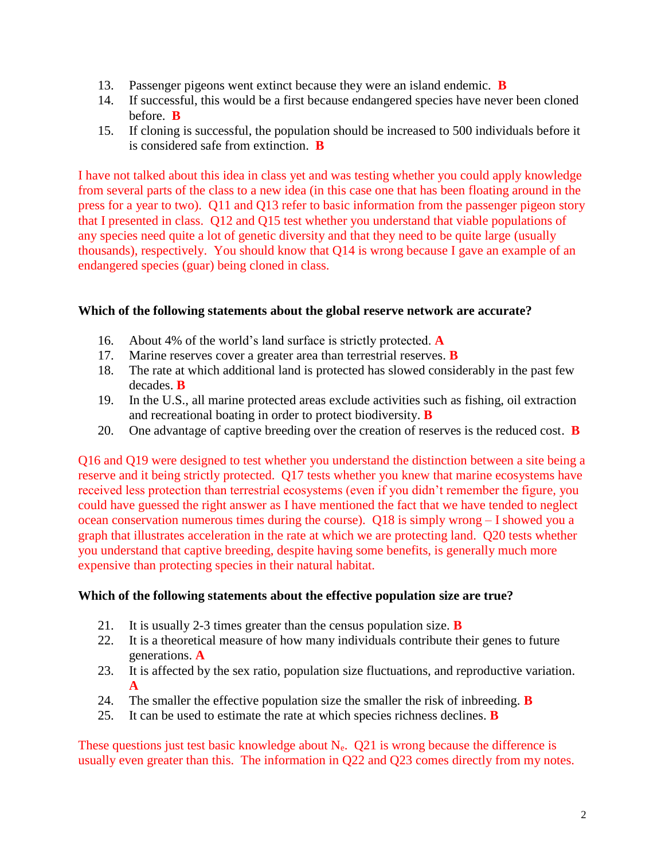- 13. Passenger pigeons went extinct because they were an island endemic. **B**
- 14. If successful, this would be a first because endangered species have never been cloned before. **B**
- 15. If cloning is successful, the population should be increased to 500 individuals before it is considered safe from extinction. **B**

I have not talked about this idea in class yet and was testing whether you could apply knowledge from several parts of the class to a new idea (in this case one that has been floating around in the press for a year to two). Q11 and Q13 refer to basic information from the passenger pigeon story that I presented in class. Q12 and Q15 test whether you understand that viable populations of any species need quite a lot of genetic diversity and that they need to be quite large (usually thousands), respectively. You should know that Q14 is wrong because I gave an example of an endangered species (guar) being cloned in class.

# **Which of the following statements about the global reserve network are accurate?**

- 16. About 4% of the world's land surface is strictly protected. **A**
- 17. Marine reserves cover a greater area than terrestrial reserves. **B**
- 18. The rate at which additional land is protected has slowed considerably in the past few decades. **B**
- 19. In the U.S., all marine protected areas exclude activities such as fishing, oil extraction and recreational boating in order to protect biodiversity. **B**
- 20. One advantage of captive breeding over the creation of reserves is the reduced cost. **B**

Q16 and Q19 were designed to test whether you understand the distinction between a site being a reserve and it being strictly protected. Q17 tests whether you knew that marine ecosystems have received less protection than terrestrial ecosystems (even if you didn't remember the figure, you could have guessed the right answer as I have mentioned the fact that we have tended to neglect ocean conservation numerous times during the course). Q18 is simply wrong – I showed you a graph that illustrates acceleration in the rate at which we are protecting land. Q20 tests whether you understand that captive breeding, despite having some benefits, is generally much more expensive than protecting species in their natural habitat.

### **Which of the following statements about the effective population size are true?**

- 21. It is usually 2-3 times greater than the census population size. **B**
- 22. It is a theoretical measure of how many individuals contribute their genes to future generations. **A**
- 23. It is affected by the sex ratio, population size fluctuations, and reproductive variation. **A**
- 24. The smaller the effective population size the smaller the risk of inbreeding. **B**
- 25. It can be used to estimate the rate at which species richness declines. **B**

These questions just test basic knowledge about  $N_e$ . Q21 is wrong because the difference is usually even greater than this. The information in Q22 and Q23 comes directly from my notes.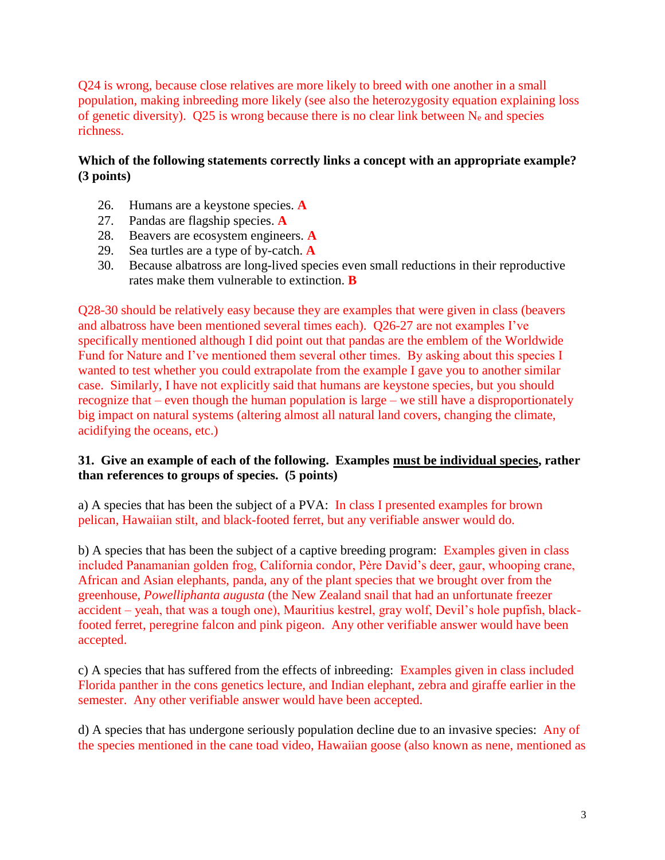Q24 is wrong, because close relatives are more likely to breed with one another in a small population, making inbreeding more likely (see also the heterozygosity equation explaining loss of genetic diversity). Q25 is wrong because there is no clear link between  $N_e$  and species richness.

# **Which of the following statements correctly links a concept with an appropriate example? (3 points)**

- 26. Humans are a keystone species. **A**
- 27. Pandas are flagship species. **A**
- 28. Beavers are ecosystem engineers. **A**
- 29. Sea turtles are a type of by-catch. **A**
- 30. Because albatross are long-lived species even small reductions in their reproductive rates make them vulnerable to extinction. **B**

Q28-30 should be relatively easy because they are examples that were given in class (beavers and albatross have been mentioned several times each). Q26-27 are not examples I've specifically mentioned although I did point out that pandas are the emblem of the Worldwide Fund for Nature and I've mentioned them several other times. By asking about this species I wanted to test whether you could extrapolate from the example I gave you to another similar case. Similarly, I have not explicitly said that humans are keystone species, but you should recognize that – even though the human population is large – we still have a disproportionately big impact on natural systems (altering almost all natural land covers, changing the climate, acidifying the oceans, etc.)

# **31. Give an example of each of the following. Examples must be individual species, rather than references to groups of species. (5 points)**

a) A species that has been the subject of a PVA: In class I presented examples for brown pelican, Hawaiian stilt, and black-footed ferret, but any verifiable answer would do.

b) A species that has been the subject of a captive breeding program: Examples given in class included Panamanian golden frog, California condor, Père David's deer, gaur, whooping crane, African and Asian elephants, panda, any of the plant species that we brought over from the greenhouse, *Powelliphanta augusta* (the New Zealand snail that had an unfortunate freezer accident – yeah, that was a tough one), Mauritius kestrel, gray wolf, Devil's hole pupfish, blackfooted ferret, peregrine falcon and pink pigeon. Any other verifiable answer would have been accepted.

c) A species that has suffered from the effects of inbreeding: Examples given in class included Florida panther in the cons genetics lecture, and Indian elephant, zebra and giraffe earlier in the semester. Any other verifiable answer would have been accepted.

d) A species that has undergone seriously population decline due to an invasive species: Any of the species mentioned in the cane toad video, Hawaiian goose (also known as nene, mentioned as